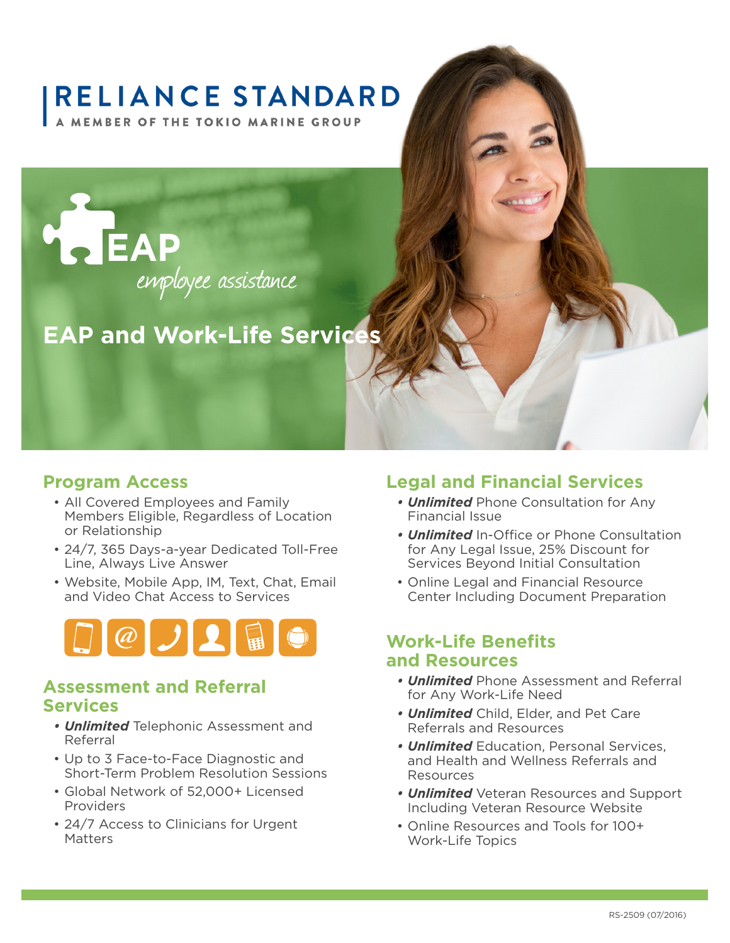# **RELIANCE STANDARD**

**A MEMBER OF THE TOKIO MARINE GROUP** 



# **EAP and Work-Life Services**

#### **Program Access**

- All Covered Employees and Family Members Eligible, Regardless of Location or Relationship
- 24/7, 365 Days-a-year Dedicated Toll-Free Line, Always Live Answer
- Website, Mobile App, IM, Text, Chat, Email and Video Chat Access to Services



#### **Assessment and Referral Services**

- *• Unlimited* Telephonic Assessment and Referral
- Up to 3 Face-to-Face Diagnostic and Short-Term Problem Resolution Sessions
- Global Network of 52,000+ Licensed Providers
- 24/7 Access to Clinicians for Urgent **Matters**

#### **Legal and Financial Services**

- *• Unlimited* Phone Consultation for Any Financial Issue
- *• Unlimited* In-Office or Phone Consultation for Any Legal Issue, 25% Discount for Services Beyond Initial Consultation
- Online Legal and Financial Resource Center Including Document Preparation

#### **Work-Life Benefits and Resources**

- *• Unlimited* Phone Assessment and Referral for Any Work-Life Need
- *• Unlimited* Child, Elder, and Pet Care Referrals and Resources
- *• Unlimited* Education, Personal Services, and Health and Wellness Referrals and Resources
- *• Unlimited* Veteran Resources and Support Including Veteran Resource Website
- Online Resources and Tools for 100+ Work-Life Topics